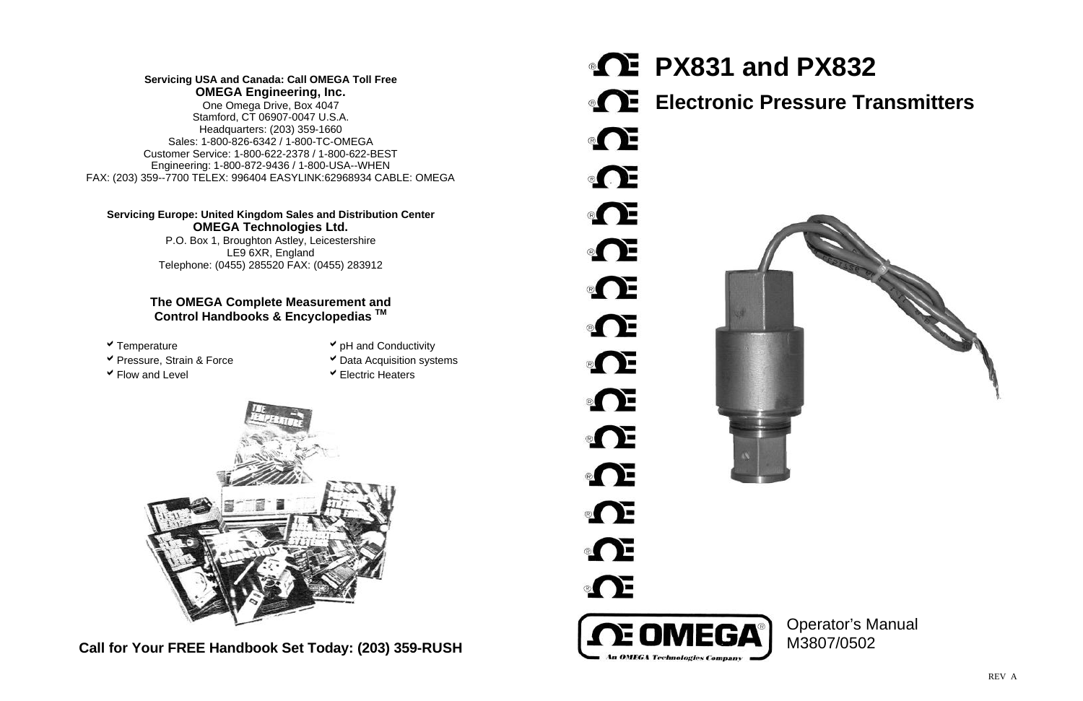**Call for Your FREE Handbook Set Today: (203) 359-RUSH**

**PX831 and PX832 Electronic Pressure Transmitters**  $\bullet$   $\bullet$  $\circ$   $\bullet$  $\circ$   $\bullet$  $\circ$   $\bullet$  $\circ$   $\bullet$  $\circ$   $\bullet$  $\bullet$   $\bullet$ **OF** Œ Œ  $\circ$   $\bullet$ Œ  $\Omega$ E OMEGA An OMEGA Technologies Co



## **Servicing USA and Canada: Call OMEGA Toll Free OMEGA Engineering, Inc.**

One Omega Drive, Box 4047 Stamford, CT 06907-0047 U.S.A. Headquarters: (203) 359-1660 Sales: 1-800-826-6342 / 1-800-TC-OMEGA Customer Service: 1-800-622-2378 / 1-800-622-BEST Engineering: 1-800-872-9436 / 1-800-USA--WHEN FAX: (203) 359--7700 TELEX: 996404 EASYLINK:62968934 CABLE: OMEGA

## **Servicing Europe: United Kingdom Sales and Distribution Center OMEGA Technologies Ltd.**

P.O. Box 1, Broughton Astley, Leicestershire LE9 6XR, England Telephone: (0455) 285520 FAX: (0455) 283912

## **The OMEGA Complete Measurement and Control Handbooks & Encyclopedias TM**

- 
- **► Pressure, Strain & Force Acquisition systems**
- 
- **v** Temperature **a** Temperature **a a** Temperature **a a**  $\bullet$  pH and Conductivity
	-
	-
- $\checkmark$  Flow and Level  $\checkmark$  Electric Heaters



# Operator's Manual M3807/0502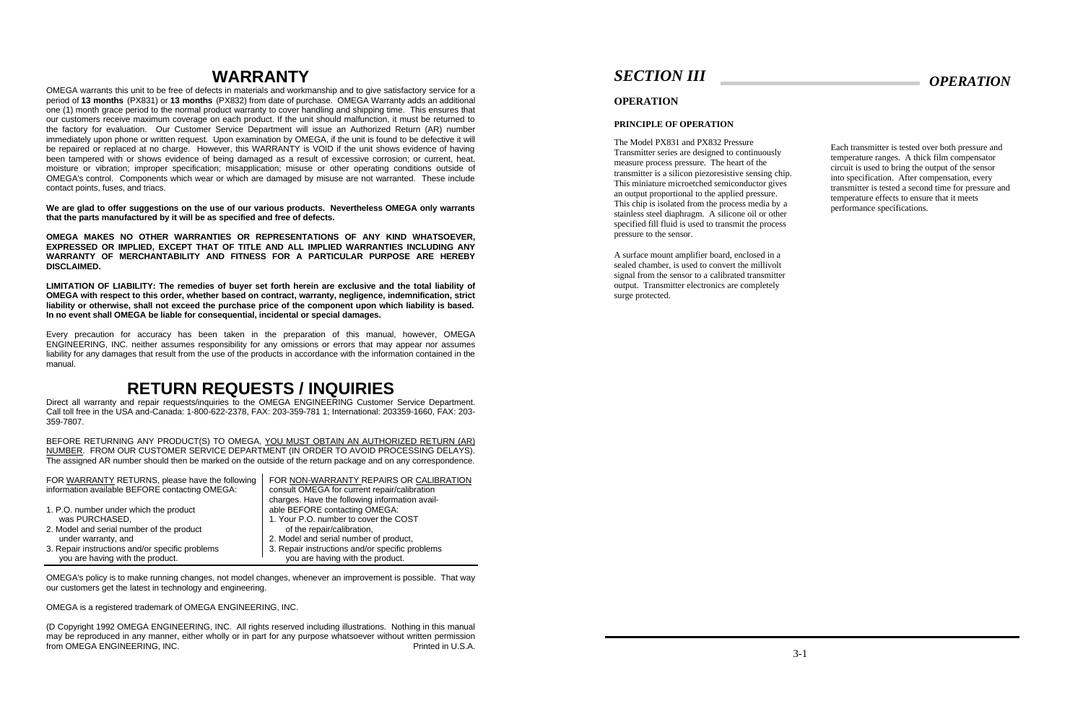# **WARRANTY**

OMEGA warrants this unit to be free of defects in materials and workmanship and to give satisfactory service for a period of **13 months** (PX831) or **13 months** (PX832) from date of purchase. OMEGA Warranty adds an additional one (1) month grace period to the normal product warranty to cover handling and shipping time. This ensures that our customers receive maximum coverage on each product. If the unit should malfunction, it must be returned to the factory for evaluation. Our Customer Service Department will issue an Authorized Return (AR) number immediately upon phone or written request. Upon examination by OMEGA, if the unit is found to be defective it will be repaired or replaced at no charge. However, this WARRANTY is VOID if the unit shows evidence of having been tampered with or shows evidence of being damaged as a result of excessive corrosion; or current, heat, moisture or vibration; improper specification; misapplication; misuse or other operating conditions outside of OMEGA's control. Components which wear or which are damaged by misuse are not warranted. These include contact points, fuses, and triacs.

**We are glad to offer suggestions on the use of our various products. Nevertheless OMEGA only warrants that the parts manufactured by it will be as specified and free of defects.**

**OMEGA MAKES NO OTHER WARRANTIES OR REPRESENTATIONS OF ANY KIND WHATSOEVER, EXPRESSED OR IMPLIED, EXCEPT THAT OF TITLE AND ALL IMPLIED WARRANTIES INCLUDING ANY WARRANTY OF MERCHANTABILITY AND FITNESS FOR A PARTICULAR PURPOSE ARE HEREBY DISCLAIMED.**

**LIMITATION OF LIABILITY: The remedies of buyer set forth herein are exclusive and the total liability of OMEGA with respect to this order, whether based on contract, warranty, negligence, indemnification, strict liability or otherwise, shall not exceed the purchase price of the component upon which liability is based. In no event shall OMEGA be liable for consequential, incidental or special damages.**

Every precaution for accuracy has been taken in the preparation of this manual, however, OMEGA ENGINEERING, INC. neither assumes responsibility for any omissions or errors that may appear nor assumes liability for any damages that result from the use of the products in accordance with the information contained in the manual.

# **RETURN REQUESTS / INQUIRIES**

Direct all warranty and repair requests/inquiries to the OMEGA ENGINEERING Customer Service Department. Call toll free in the USA and-Canada: 1-800-622-2378, FAX: 203-359-781 1; International: 203359-1660, FAX: 203- 359-7807.

BEFORE RETURNING ANY PRODUCT(S) TO OMEGA, YOU MUST OBTAIN AN AUTHORIZED RETURN (AR) NUMBER. FROM OUR CUSTOMER SERVICE DEPARTMENT (IN ORDER TO AVOID PROCESSING DELAYS). The assigned AR number should then be marked on the outside of the return package and on any correspondence.

| FOR WARRANTY RETURNS, please have the following | FOR NON-WARRANTY REPAIRS OR CALIBRATION         |
|-------------------------------------------------|-------------------------------------------------|
| information available BEFORE contacting OMEGA:  | consult OMEGA for current repair/calibration    |
|                                                 | charges. Have the following information avail-  |
| 1. P.O. number under which the product          | able BEFORE contacting OMEGA:                   |
| was PURCHASED,                                  | 1. Your P.O. number to cover the COST           |
| 2. Model and serial number of the product       | of the repair/calibration,                      |
| under warranty, and                             | 2. Model and serial number of product,          |
| 3. Repair instructions and/or specific problems | 3. Repair instructions and/or specific problems |
| you are having with the product.                | you are having with the product.                |

OMEGA's policy is to make running changes, not model changes, whenever an improvement is possible. That way our customers get the latest in technology and engineering.

OMEGA is a registered trademark of OMEGA ENGINEERING, INC.

(D Copyright 1992 OMEGA ENGINEERING, INC. All rights reserved including illustrations. Nothing in this manual may be reproduced in any manner, either wholly or in part for any purpose whatsoever without written permission from OMEGA ENGINEERING, INC. Printed in U.S.A.

## *SECTION III*

### **OPERATION**

### **PRINCIPLE OF OPERATION**

The Model PX831 and PX832 Pressure Transmitter series are designed to continuously measure process pressure. The heart of the transmitter is a silicon piezoresistive sensing chip. This miniature microetched semiconductor gives an output proportional to the applied pressure. This chip is isolated from the process media by a stainless steel diaphragm. A silicone oil or other specified fill fluid is used to transmit the process pressure to the sensor.

A surface mount amplifier board, enclosed in a sealed chamber, is used to convert the millivolt signal from the sensor to a calibrated transmitter output. Transmitter electronics are completely surge protected.

Each transmitter is tested over both pressure and temperature ranges. A thick film compensator circuit is used to bring the output of the sensor into specification. After compensation, every transmitter is tested a second time for pressure and temperature effects to ensure that it meets performance specifications.

# *OPERATION*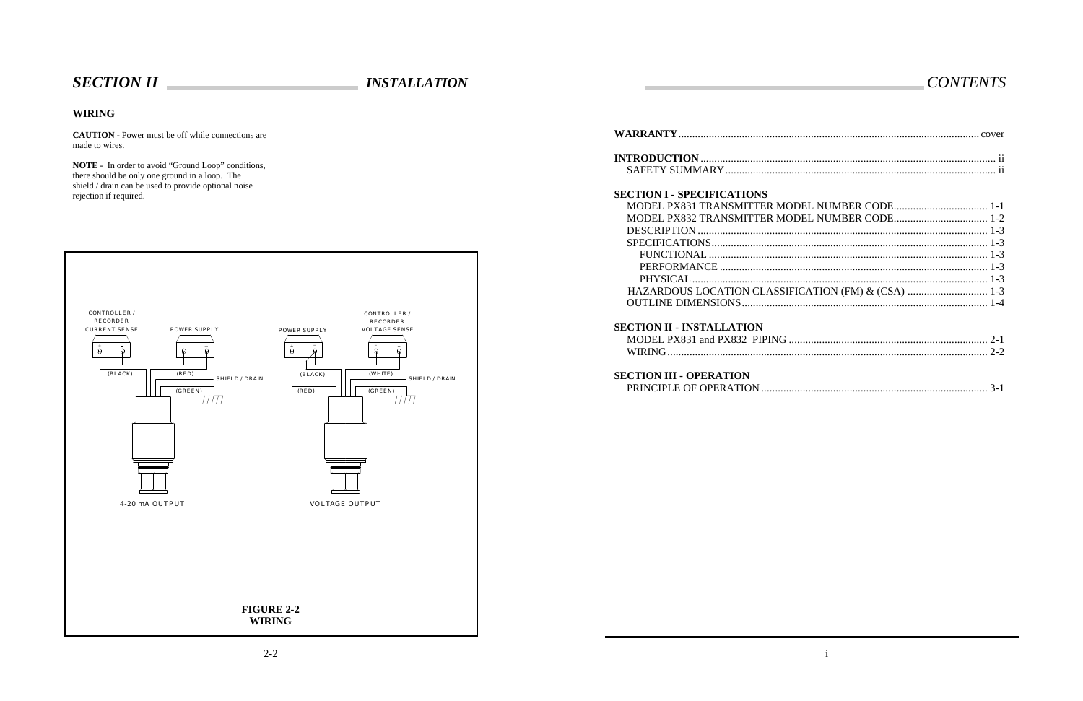## **WIRING**

**CAUTION** - Power must be off while connections are made to wires.

**NOTE** - In order to avoid "Ground Loop" conditions, there should be only one ground in a loop. The shield / drain can be used to provide optional noise rejection if required.



# *CONTENTS*

## **WARRANTY**............................................................................................................. cover

## **INTRODUCTION** ........................................................................................................... ii SAFETY SUMMARY.................................................................................................. ii

## **SECTION I - SPECIFICATIONS**

| MODEL PX831 TRANSMITTER MOI        |
|------------------------------------|
| MODEL PX832 TRANSMITTER MOI        |
|                                    |
|                                    |
|                                    |
| PERFORMANCE                        |
|                                    |
| <b>HAZARDOUS LOCATION CLASSIFI</b> |
| OUTLINE DIMENSIONS                 |

| <b>SECTION I - SPECIFICATIONS</b>                   |               |
|-----------------------------------------------------|---------------|
|                                                     |               |
|                                                     |               |
|                                                     |               |
|                                                     |               |
|                                                     |               |
|                                                     |               |
|                                                     |               |
| HAZARDOUS LOCATION CLASSIFICATION (FM) & (CSA)  1-3 |               |
|                                                     |               |
| <b>SECTION II - INSTALLATION</b>                    |               |
|                                                     | $\bigcap_{1}$ |

## **SECTION II - INSTALLATION**

 MODEL PX831 and PX832 PIPING ........................................................................ 2-1 WIRING.................................................................................................................... 2-2

## **SECTION III - OPERATION**

| ECTION III - OPERATION |  |
|------------------------|--|
|                        |  |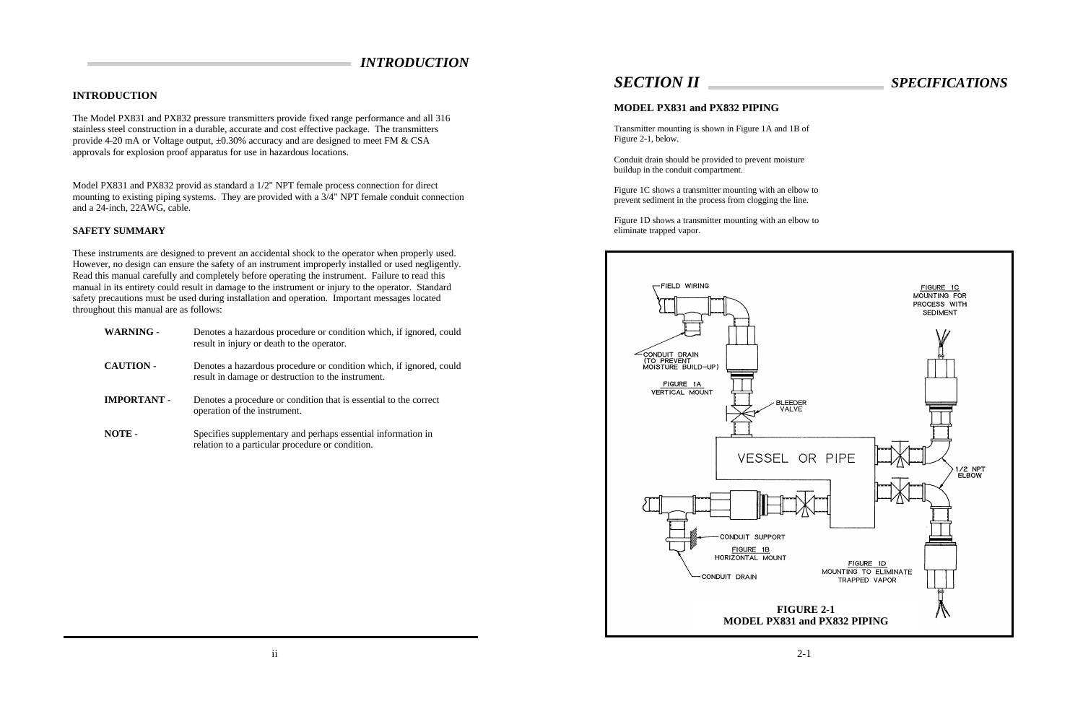## *INTRODUCTION*

## **INTRODUCTION**

The Model PX831 and PX832 pressure transmitters provide fixed range performance and all 316 stainless steel construction in a durable, accurate and cost effective package. The transmitters provide 4-20 mA or Voltage output, ±0.30% accuracy and are designed to meet FM & CSA approvals for explosion proof apparatus for use in hazardous locations.

Model PX831 and PX832 provid as standard a 1/2" NPT female process connection for direct mounting to existing piping systems. They are provided with a 3/4" NPT female conduit connection and a 24-inch, 22AWG, cable.

### **SAFETY SUMMARY**

These instruments are designed to prevent an accidental shock to the operator when properly used. However, no design can ensure the safety of an instrument improperly installed or used negligently. Read this manual carefully and completely before operating the instrument. Failure to read this manual in its entirety could result in damage to the instrument or injury to the operator. Standard safety precautions must be used during installation and operation. Important messages located throughout this manual are as follows:

| <b>WARNING -</b>   | Denotes a hazardous procedure or condition which, if ignored, could<br>result in injury or death to the operator.         |
|--------------------|---------------------------------------------------------------------------------------------------------------------------|
| <b>CAUTION -</b>   | Denotes a hazardous procedure or condition which, if ignored, could<br>result in damage or destruction to the instrument. |
| <b>IMPORTANT -</b> | Denotes a procedure or condition that is essential to the correct<br>operation of the instrument.                         |
| NOTE -             | Specifies supplementary and perhaps essential information in                                                              |

relation to a particular procedure or condition.



# *SECTION II SPECIFICATIONS*

## **MODEL PX831 and PX832 PIPING**

Transmitter mounting is shown in Figure 1A and 1B of Figure 2-1, below.

Conduit drain should be provided to prevent moisture buildup in the conduit compartment.

Figure 1C shows a transmitter mounting with an elbow to prevent sediment in the process from clogging the line.

Figure 1D shows a transmitter mounting with an elbow to eliminate trapped vapor.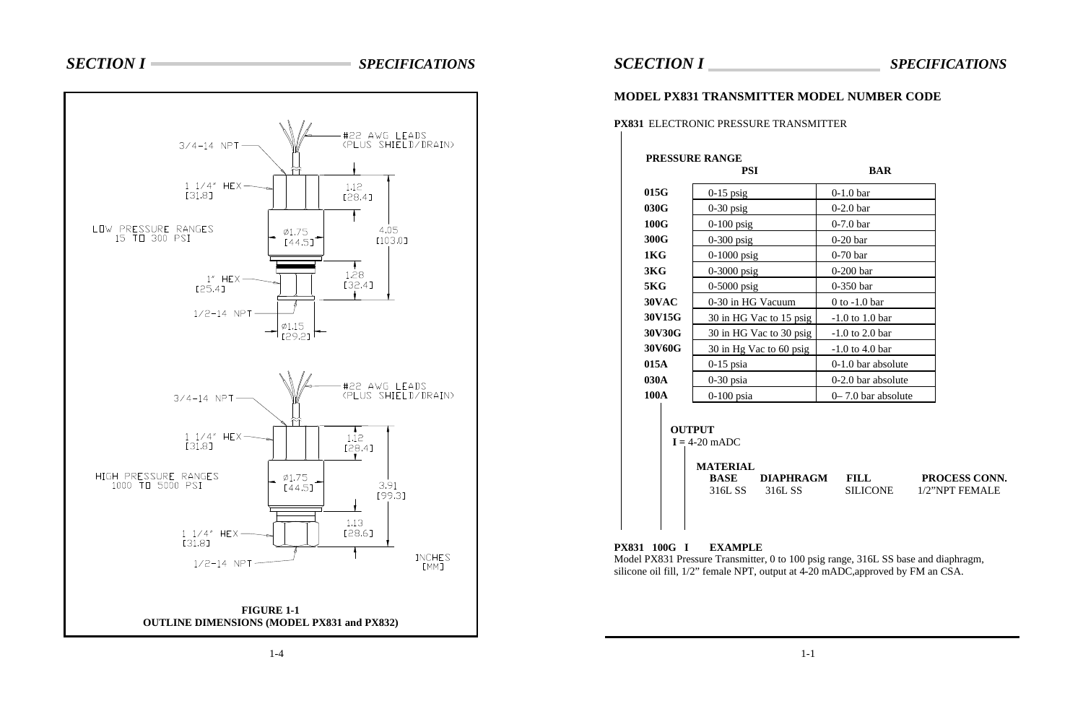## +#22 awg leads<br>(Plus shield/drain)  $3/4 - 14$  NPT  $11/4''$  HEX- $1.12$ [31.8] [28.4] LOW PRESSURE RANGES<br>15 TO 300 PSI 4.05  $\varphi$ 1.75 [103.0]  $[44.5]$  $\begin{array}{c}\n1.28\n\end{array}$  $1''$  HEX- $[32.4]$  $[25.4]$ . .  $1/2 - 14$  NPT  $\varnothing$ 1.15 7 <sub>[29.2]</sub> F #22 AWG LEADS<br>(PLUS SHIELD/DRAIN)  $3/4 - 14$  NPT- $\lambda$  $11/4''$  HEX- $1.12$ [31.8]  $[28.4]$ HIGH PRESSURE RANGES<br>1000 TO 5000 PSI  $\varphi$ 1.75 3.91  $[44.5]$ [99.3] 1.13  $11/4''$  HEX-[28.6] [31.8] **INCHES**  $1/2 - 14$  NPT [MM] **FIGURE 1-1 OUTLINE DIMENSIONS (MODEL PX831 and PX832)**

# *SECTION I SPECIFICATIONS*

# *SCECTION I SPECIFICATIONS*

## **MODEL PX831 TRANSMITTER MODEL NUMBER CODE**

## **PX831** ELECTRONIC PRESSURE TRANSMITTER

**BASE DIAPHRAGM FILL PROCESS CONN.** 316L SS 316L SS SILICONE 1/2"NPT FEMALE

## **PRESSURE RANGE**

 **OUTPUT**  $I = 4-20$  mADC **MATERIAL**

**PX831 100G I EXAMPLE** Model PX831 Pressure Transmitter, 0 to 100 psig range, 316L SS base and diaphragm, silicone oil fill, 1/2" female NPT, output at 4-20 mADC,approved by FM an CSA.

|                  | <b>PSI</b>              | <b>BAR</b>             |
|------------------|-------------------------|------------------------|
| 015G             | $0-15$ psig             | $0-1.0$ bar            |
| 030G             | $0-30$ psig             | $0-2.0$ bar            |
| 100G             | $0-100$ psig            | $0-7.0$ bar            |
| 300G             | 0-300 psig              | $0-20$ bar             |
| 1KG              | 0-1000 psig             | $0-70$ bar             |
| 3KG              | 0-3000 psig             | $0-200$ bar            |
| 5 <sub>K</sub> G | 0-5000 psig             | $0-350$ bar            |
| 30VAC            | 0-30 in HG Vacuum       | $0$ to $-1.0$ bar      |
| 30V15G           | 30 in HG Vac to 15 psig | $-1.0$ to 1.0 bar      |
| 30V30G           | 30 in HG Vac to 30 psig | $-1.0$ to 2.0 bar      |
| 30V60G           | 30 in Hg Vac to 60 psig | $-1.0$ to 4.0 bar      |
| 015A             | $0-15$ psia             | 0-1.0 bar absolute     |
| 030A             | $0-30$ psia             | 0-2.0 bar absolute     |
| <b>100A</b>      | $0-100$ psia            | $0 - 7.0$ bar absolute |